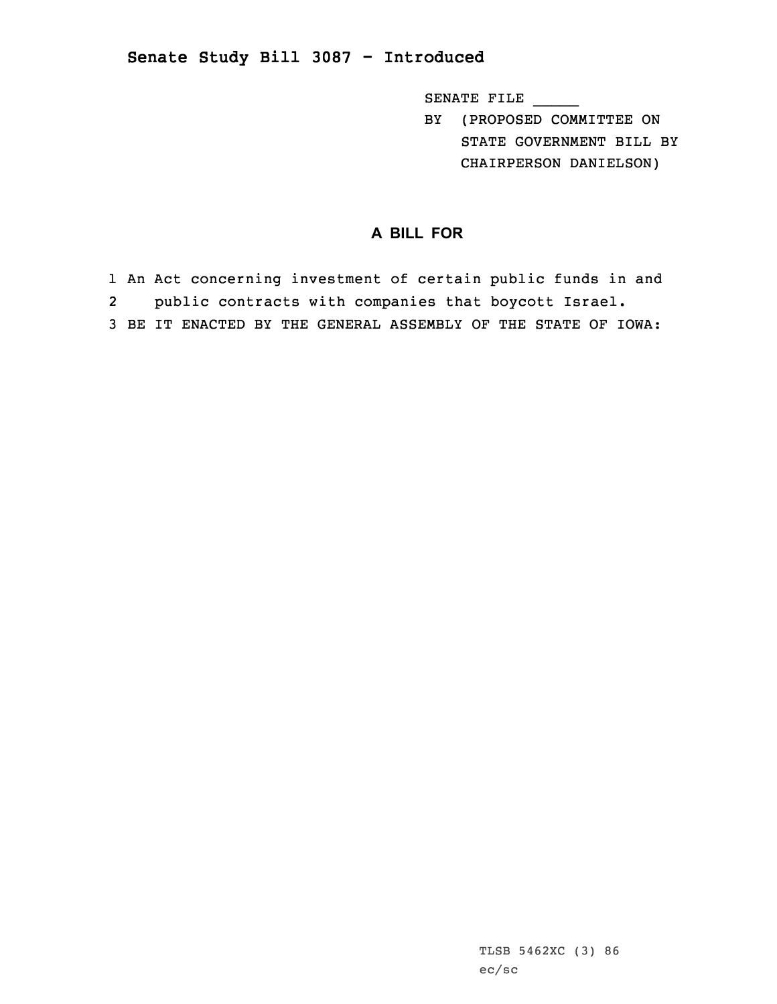## **Senate Study Bill 3087 - Introduced**

SENATE FILE \_\_\_\_\_

BY (PROPOSED COMMITTEE ON STATE GOVERNMENT BILL BY CHAIRPERSON DANIELSON)

## **A BILL FOR**

1 An Act concerning investment of certain public funds in and 2 public contracts with companies that boycott Israel. 3 BE IT ENACTED BY THE GENERAL ASSEMBLY OF THE STATE OF IOWA:

> TLSB 5462XC (3) 86 ec/sc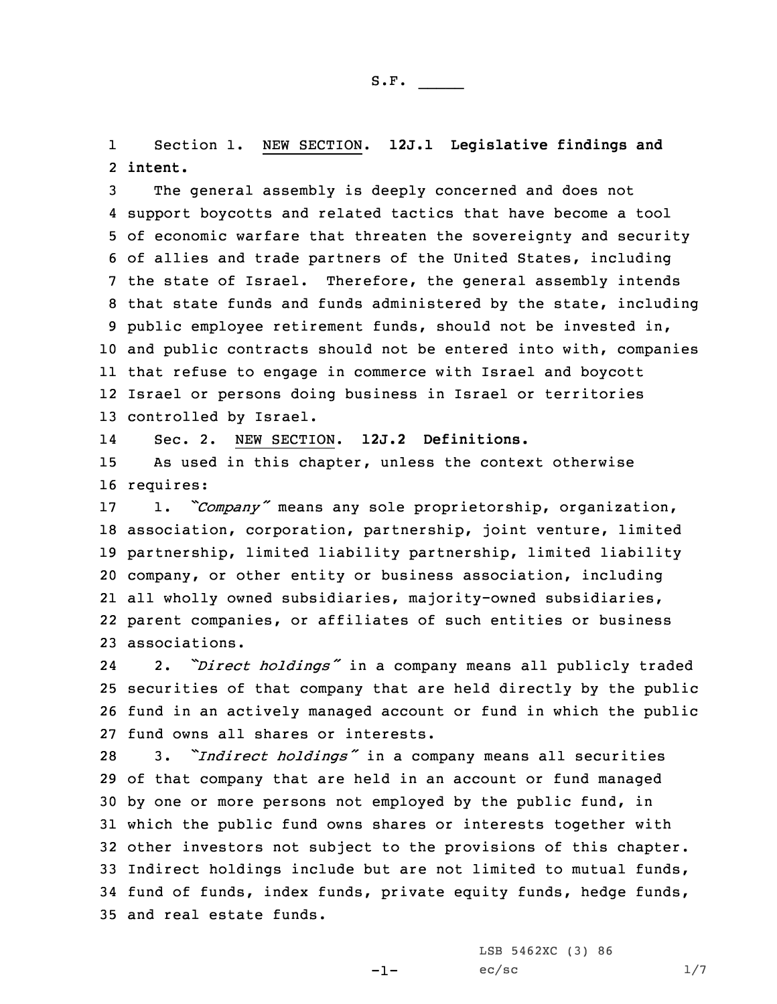1 Section 1. NEW SECTION. **12J.1 Legislative findings and** 2 **intent.**

 The general assembly is deeply concerned and does not support boycotts and related tactics that have become <sup>a</sup> tool of economic warfare that threaten the sovereignty and security of allies and trade partners of the United States, including the state of Israel. Therefore, the general assembly intends that state funds and funds administered by the state, including public employee retirement funds, should not be invested in, and public contracts should not be entered into with, companies that refuse to engage in commerce with Israel and boycott Israel or persons doing business in Israel or territories controlled by Israel.

14Sec. 2. NEW SECTION. **12J.2 Definitions.**

15 As used in this chapter, unless the context otherwise 16 requires:

 1. *"Company"* means any sole proprietorship, organization, association, corporation, partnership, joint venture, limited partnership, limited liability partnership, limited liability company, or other entity or business association, including all wholly owned subsidiaries, majority-owned subsidiaries, parent companies, or affiliates of such entities or business associations.

24 2. *"Direct holdings"* in <sup>a</sup> company means all publicly traded 25 securities of that company that are held directly by the public 26 fund in an actively managed account or fund in which the public 27 fund owns all shares or interests.

 3. *"Indirect holdings"* in <sup>a</sup> company means all securities of that company that are held in an account or fund managed by one or more persons not employed by the public fund, in which the public fund owns shares or interests together with other investors not subject to the provisions of this chapter. Indirect holdings include but are not limited to mutual funds, fund of funds, index funds, private equity funds, hedge funds, and real estate funds.

-1-

LSB 5462XC (3) 86  $ec/sec$   $1/7$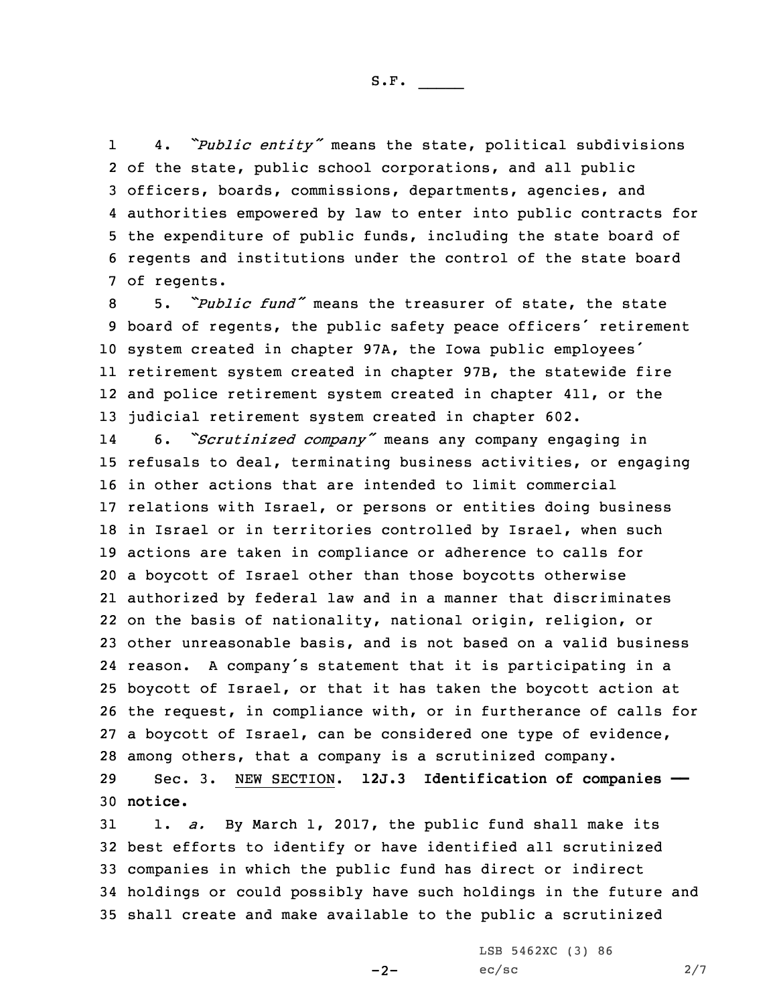S.F.  $\rule{1em}{0.15mm}$ 

1 4. *"Public entity"* means the state, political subdivisions of the state, public school corporations, and all public officers, boards, commissions, departments, agencies, and authorities empowered by law to enter into public contracts for the expenditure of public funds, including the state board of regents and institutions under the control of the state board of regents.

 5. *"Public fund"* means the treasurer of state, the state board of regents, the public safety peace officers' retirement system created in chapter 97A, the Iowa public employees' retirement system created in chapter 97B, the statewide fire and police retirement system created in chapter 411, or the judicial retirement system created in chapter 602.

14 6. *"Scrutinized company"* means any company engaging in refusals to deal, terminating business activities, or engaging in other actions that are intended to limit commercial relations with Israel, or persons or entities doing business 18 in Israel or in territories controlled by Israel, when such actions are taken in compliance or adherence to calls for <sup>a</sup> boycott of Israel other than those boycotts otherwise authorized by federal law and in <sup>a</sup> manner that discriminates on the basis of nationality, national origin, religion, or other unreasonable basis, and is not based on <sup>a</sup> valid business reason. <sup>A</sup> company's statement that it is participating in <sup>a</sup> boycott of Israel, or that it has taken the boycott action at the request, in compliance with, or in furtherance of calls for <sup>a</sup> boycott of Israel, can be considered one type of evidence, among others, that <sup>a</sup> company is <sup>a</sup> scrutinized company.

29 Sec. 3. NEW SECTION. **12J.3 Identification of companies ——** 30 **notice.**

 1. *a.* By March 1, 2017, the public fund shall make its best efforts to identify or have identified all scrutinized companies in which the public fund has direct or indirect holdings or could possibly have such holdings in the future and shall create and make available to the public <sup>a</sup> scrutinized

 $-2-$ 

LSB 5462XC (3) 86  $ec/sec$  2/7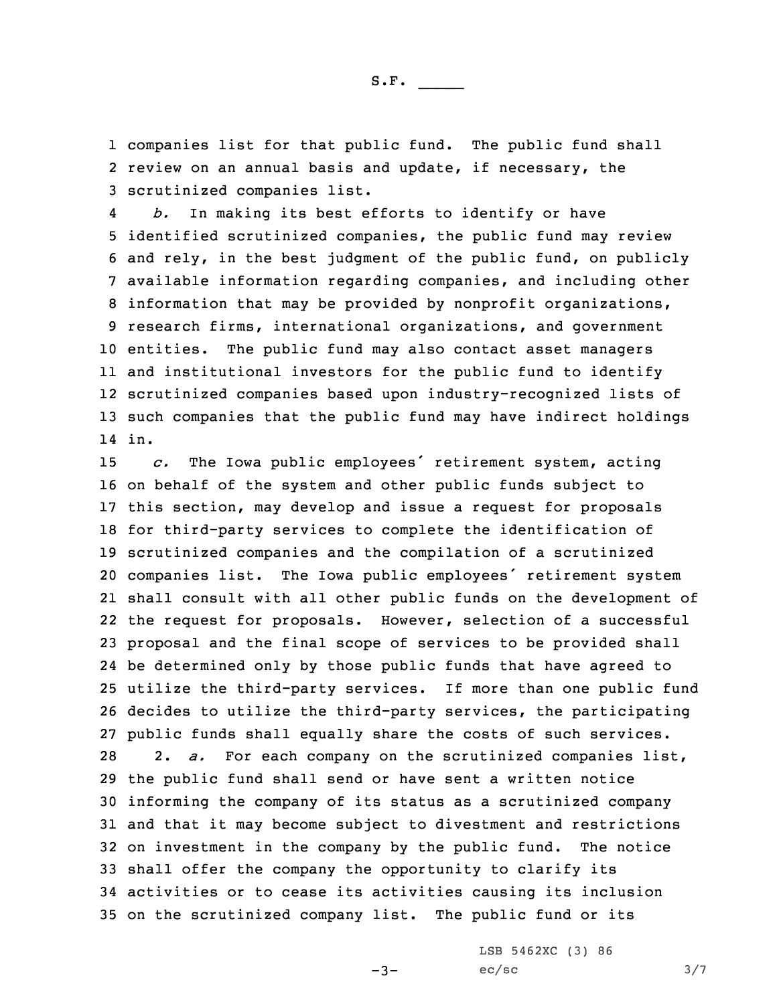1 companies list for that public fund. The public fund shall 2 review on an annual basis and update, if necessary, the 3 scrutinized companies list.

4 *b.* In making its best efforts to identify or have identified scrutinized companies, the public fund may review and rely, in the best judgment of the public fund, on publicly available information regarding companies, and including other information that may be provided by nonprofit organizations, research firms, international organizations, and government entities. The public fund may also contact asset managers and institutional investors for the public fund to identify scrutinized companies based upon industry-recognized lists of such companies that the public fund may have indirect holdings 14 in.

 *c.* The Iowa public employees' retirement system, acting on behalf of the system and other public funds subject to this section, may develop and issue <sup>a</sup> request for proposals for third-party services to complete the identification of scrutinized companies and the compilation of <sup>a</sup> scrutinized companies list. The Iowa public employees' retirement system shall consult with all other public funds on the development of the request for proposals. However, selection of <sup>a</sup> successful proposal and the final scope of services to be provided shall be determined only by those public funds that have agreed to utilize the third-party services. If more than one public fund decides to utilize the third-party services, the participating public funds shall equally share the costs of such services. 2. *a.* For each company on the scrutinized companies list, the public fund shall send or have sent <sup>a</sup> written notice informing the company of its status as <sup>a</sup> scrutinized company and that it may become subject to divestment and restrictions on investment in the company by the public fund. The notice shall offer the company the opportunity to clarify its activities or to cease its activities causing its inclusion on the scrutinized company list. The public fund or its

-3-

LSB 5462XC (3) 86  $ec/sec$   $3/7$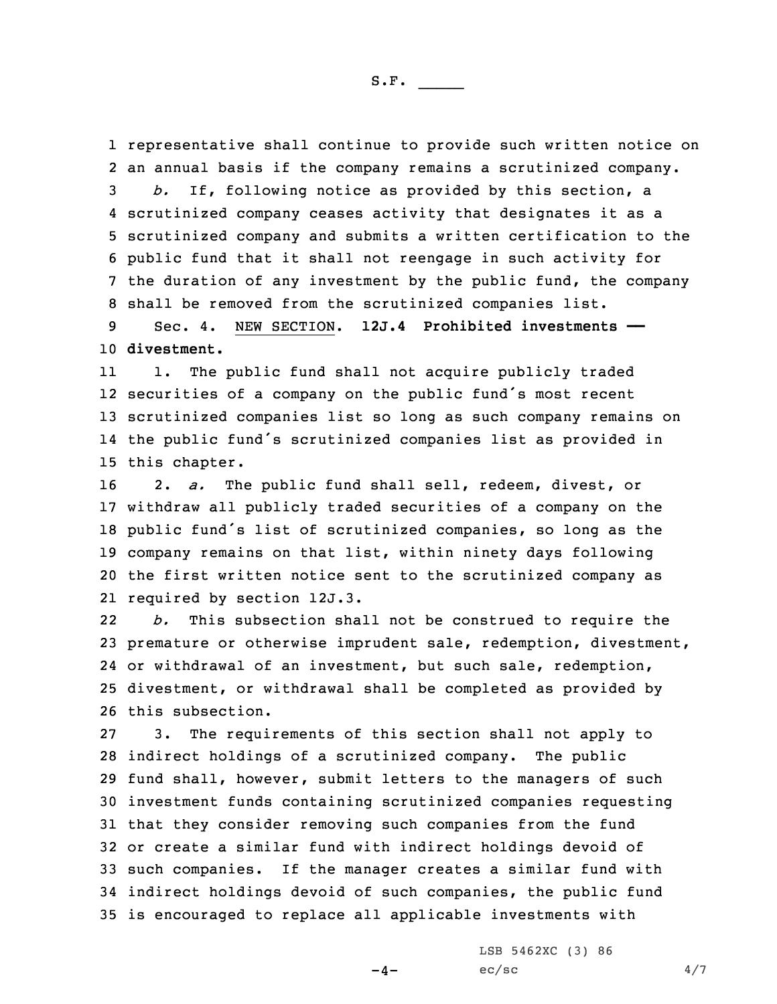representative shall continue to provide such written notice on an annual basis if the company remains <sup>a</sup> scrutinized company. *b.* If, following notice as provided by this section, <sup>a</sup> scrutinized company ceases activity that designates it as <sup>a</sup> scrutinized company and submits <sup>a</sup> written certification to the public fund that it shall not reengage in such activity for the duration of any investment by the public fund, the company shall be removed from the scrutinized companies list.

9 Sec. 4. NEW SECTION. **12J.4 Prohibited investments ——** 10 **divestment.**

11 1. The public fund shall not acquire publicly traded securities of <sup>a</sup> company on the public fund's most recent scrutinized companies list so long as such company remains on the public fund's scrutinized companies list as provided in this chapter.

 2. *a.* The public fund shall sell, redeem, divest, or withdraw all publicly traded securities of <sup>a</sup> company on the public fund's list of scrutinized companies, so long as the company remains on that list, within ninety days following the first written notice sent to the scrutinized company as required by section 12J.3.

22 *b.* This subsection shall not be construed to require the premature or otherwise imprudent sale, redemption, divestment, or withdrawal of an investment, but such sale, redemption, divestment, or withdrawal shall be completed as provided by this subsection.

 3. The requirements of this section shall not apply to indirect holdings of <sup>a</sup> scrutinized company. The public fund shall, however, submit letters to the managers of such investment funds containing scrutinized companies requesting that they consider removing such companies from the fund or create <sup>a</sup> similar fund with indirect holdings devoid of such companies. If the manager creates <sup>a</sup> similar fund with indirect holdings devoid of such companies, the public fund is encouraged to replace all applicable investments with

 $-4-$ 

LSB 5462XC (3) 86  $ec/sec$  4/7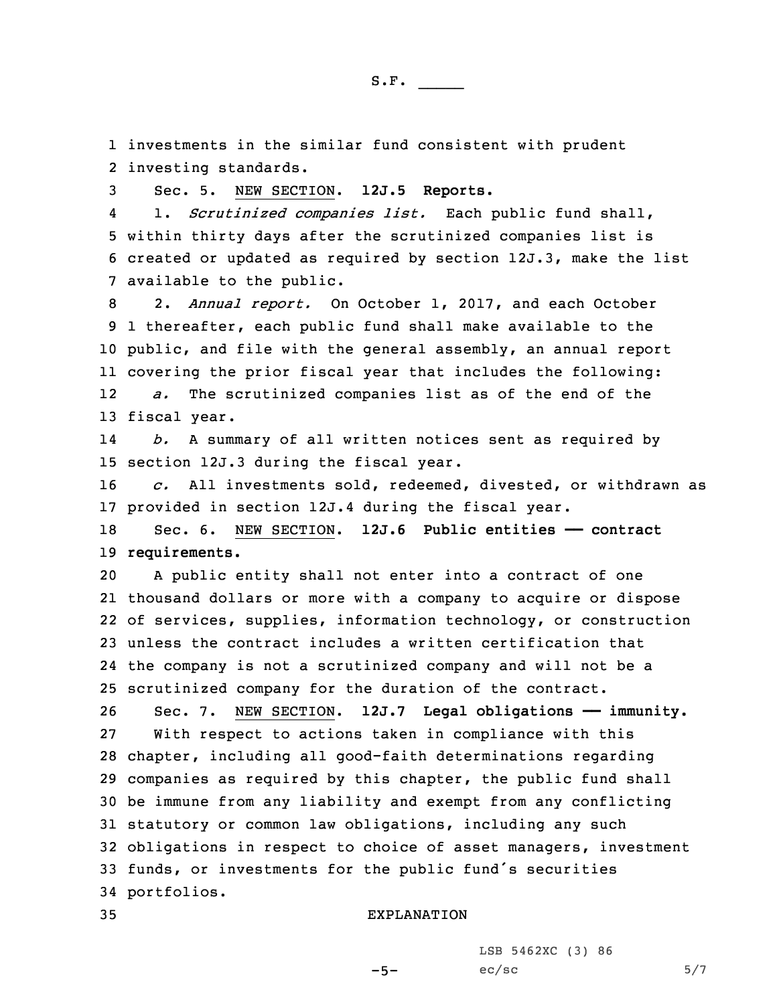1 investments in the similar fund consistent with prudent 2 investing standards.

3 Sec. 5. NEW SECTION. **12J.5 Reports.**

4 1. *Scrutinized companies list.* Each public fund shall, 5 within thirty days after the scrutinized companies list is 6 created or updated as required by section 12J.3, make the list 7 available to the public.

 2. *Annual report.* On October 1, 2017, and each October 1 thereafter, each public fund shall make available to the public, and file with the general assembly, an annual report covering the prior fiscal year that includes the following: 12 *a.* The scrutinized companies list as of the end of the fiscal year.

14 *b.* <sup>A</sup> summary of all written notices sent as required by 15 section 12J.3 during the fiscal year.

16 *c.* All investments sold, redeemed, divested, or withdrawn as 17 provided in section 12J.4 during the fiscal year.

18 Sec. 6. NEW SECTION. **12J.6 Public entities —— contract** 19 **requirements.**

 <sup>A</sup> public entity shall not enter into <sup>a</sup> contract of one thousand dollars or more with <sup>a</sup> company to acquire or dispose of services, supplies, information technology, or construction unless the contract includes <sup>a</sup> written certification that the company is not <sup>a</sup> scrutinized company and will not be <sup>a</sup> scrutinized company for the duration of the contract.

 Sec. 7. NEW SECTION. **12J.7 Legal obligations —— immunity.** With respect to actions taken in compliance with this chapter, including all good-faith determinations regarding companies as required by this chapter, the public fund shall be immune from any liability and exempt from any conflicting statutory or common law obligations, including any such obligations in respect to choice of asset managers, investment funds, or investments for the public fund's securities portfolios.

 $-5-$ 

## 35 EXPLANATION

LSB 5462XC (3) 86  $ec/sec$  5/7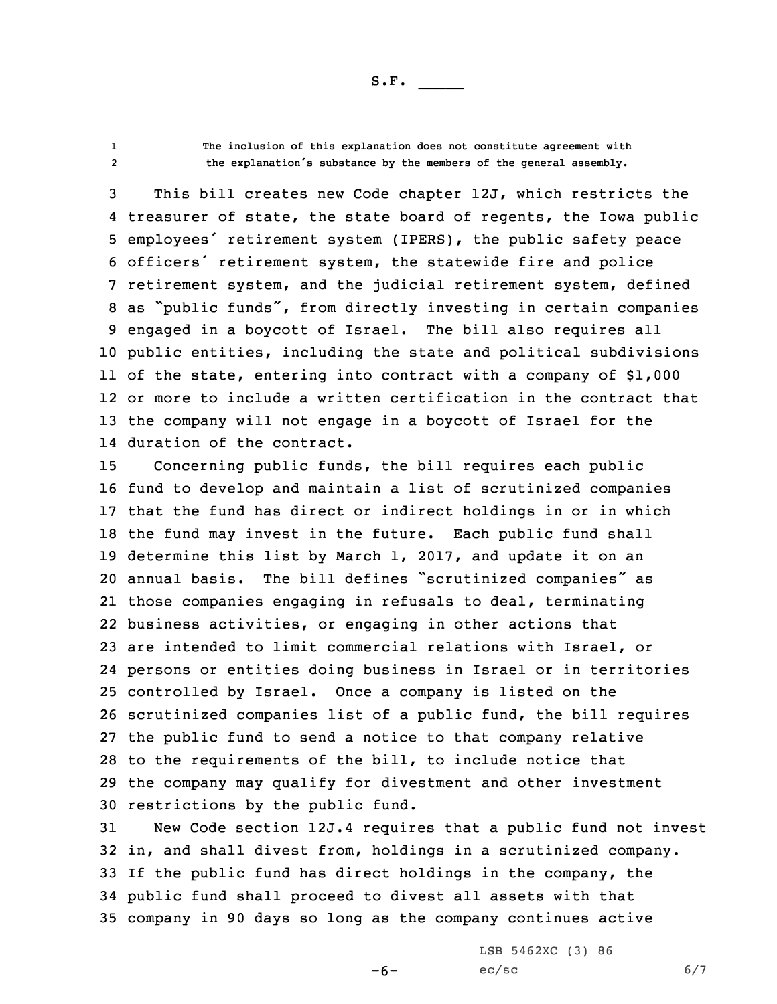S.F.  $\rule{1em}{0.15mm}$ 

12

 **The inclusion of this explanation does not constitute agreement with the explanation's substance by the members of the general assembly.**

 This bill creates new Code chapter 12J, which restricts the treasurer of state, the state board of regents, the Iowa public employees' retirement system (IPERS), the public safety peace officers' retirement system, the statewide fire and police retirement system, and the judicial retirement system, defined as "public funds", from directly investing in certain companies engaged in <sup>a</sup> boycott of Israel. The bill also requires all public entities, including the state and political subdivisions of the state, entering into contract with <sup>a</sup> company of \$1,000 or more to include <sup>a</sup> written certification in the contract that the company will not engage in <sup>a</sup> boycott of Israel for the duration of the contract.

 Concerning public funds, the bill requires each public fund to develop and maintain <sup>a</sup> list of scrutinized companies that the fund has direct or indirect holdings in or in which the fund may invest in the future. Each public fund shall determine this list by March 1, 2017, and update it on an annual basis. The bill defines "scrutinized companies" as those companies engaging in refusals to deal, terminating business activities, or engaging in other actions that are intended to limit commercial relations with Israel, or persons or entities doing business in Israel or in territories controlled by Israel. Once <sup>a</sup> company is listed on the scrutinized companies list of <sup>a</sup> public fund, the bill requires the public fund to send <sup>a</sup> notice to that company relative to the requirements of the bill, to include notice that the company may qualify for divestment and other investment restrictions by the public fund.

 New Code section 12J.4 requires that <sup>a</sup> public fund not invest in, and shall divest from, holdings in <sup>a</sup> scrutinized company. If the public fund has direct holdings in the company, the public fund shall proceed to divest all assets with that company in 90 days so long as the company continues active

-6-

LSB 5462XC (3) 86  $ec/sec$  6/7